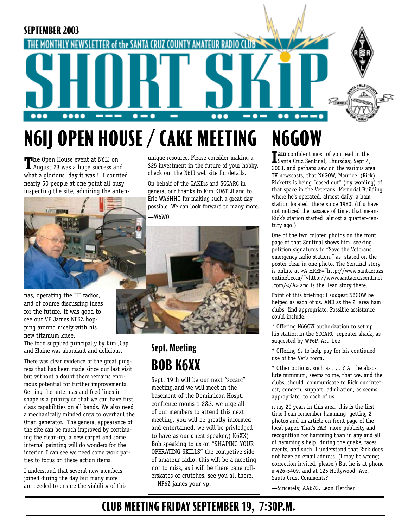

# **N6IJ OPEN HOUSE / CAKE MEETING N6GOW**

**The** Open House event at N6IJ on August 23 was a huge success and what a glorious day it was ! I counted nearly 50 people at one point all busy inspecting the site, admiring the anten-



nas, operating the HF radios, and of course discussing ideas for the future. It was good to see our VP James NF6Z hopping around nicely with his new titanium knee.

The food supplied principally by Kim ,Cap and Elaine was abundant and delicious.

There was clear evidence of the great progress that has been made since our last visit but without a doubt there remains enormous potential for further improvements. Getting the antennas and feed lines in shape is a priority so that we can have first class capabilities on all bands. We also need a mechanically minded crew to overhaul the Onan generator. The general appearance of the site can be much improved by continuing the clean-up, a new carpet and some internal painting will do wonders for the interior. I can see we need some work parties to focus on these action items.

I understand that several new members joined during the day but many more are needed to ensure the viability of this unique resource. Please consider making a \$25 investment in the future of your hobby, check out the N6IJ web site for details.

On behalf of the CAKErs and SCCARC in general our thanks to Kim KD6TLB and to Eric WA6HHQ for making such a great day possible. We can look forward to many more. —W6WO



## **Sept. Meeting BOB K6XX**

Sept. 19th will be our next "sccarc" meeting,and we will meet in the basement of the Domimican Hospt. confrence rooms 1-2&3. we urge all of our members to attend this next meeting, you will be greatly informed and entertained. we will be privledged to have as our guest speaker,( K6XX) Bob speaking to us on "SHAPING YOUR OPERATING SKILLS" the competive side of amateur radio. this will be a meeting not to miss, as i will be there cane rollerskates or crutches. see you all there. —NF6Z james your vp.

**I am** confident most of you read in the Santa Cruz Sentinal, Thursday, Sept 4, 2003, and perhaps saw on the various area TV newscasts, that N6GOW, Maurice (Rick) Ricketts is being "eased out" (my wording) of that space in the Veterans Memorial Building where he's operated, almost daily, a ham station located there since 1980. (If u have not noticed the passage of time, that means Rick's station started almost a quarter-century ago!)

One of the two colored photos on the front page of that Sentinal shows him seeking petition signatures to "Save the Veterans emergency radio station," as stated on the poster clear in one photo. The Sentinal story is online at <A HREF="http://www.santacruzs entinel.com/">http://www.santacruzsentinel .com/</A> and is the lead story there.

Point of this briefing: I suggest N6GOW be helped as each of us, AND as the 2 area ham clubs, find appropriate. Possible assistance could include:

\* Offering N6GOW authorization to set up his station in the SCCARC repeater shack, as suggested by WF6P, Art Lee

\* Offering \$s to help pay for his continued use of the Vet's room.

\* Other options, such as . . . ? At the absolute minimum, seems to me, that we, and the clubs, should communicate to Rick our interest, concern, support, admiration, as seems appropriate to each of us.

n my 20 years in this area, this is the first time I can remember hamming getting 2 photos and an article on front page of the local paper. That's FAR more publicity and recognition for hamming than in any and all of hamming's help during the quake, races, events, and such. I understand that Rick does not have an email address. (I may be wrong; correction invited, please.) But he is at phone # 426-5409, and at 125 Hollywood Ave, Santa Cruz. Comments?

—Sincerely, AA6ZG, Leon Fletcher

## **CLUB MEETING FRIDAY SEPTEMBER 19, 7:30P.M.**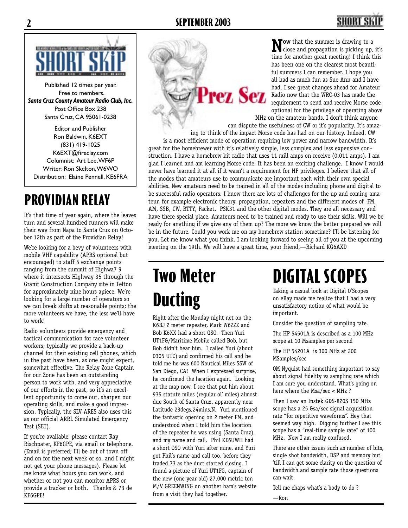Prez Sez



Published 12 times per year. Free to members. *Santa Cruz County Amateur Radio Club, Inc.* Post Office Box 238 Santa Cruz, CA 95061-0238

Editor and Publisher Ron Baldwin, K6EXT (831) 419-1025 K6EXT@fireclay.com Columnist: Art Lee, WF6P Writer: Ron Skelton, W6WO Distribution: Elaine Pennell, KE6FRA

## **PROVIDIAN RELAY**

It's that time of year again, where the leaves turn and several hundred runners will make their way from Napa to Santa Cruz on October 12th as part of the Providian Relay!

We're looking for a bevy of volunteers with mobile VHF capability (APRS optional but encouraged) to staff 5 exchange points ranging from the summit of Highwa7 9 where it intersects Highway 35 through the Granit Construction Company site in Felton for approximately nine hours apiece. We're looking for a large number of operators so we can break shifts at reasonable points; the more volunteers we have, the less we'll have to work!

Radio volunteers provide emergency and tactical communication for race volunteer workers; typically we provide a back-up channel for their existing cell phones, which in the past have been, as one might expect, somewhat effective. The Relay Zone Captain for our Zone has been an outstanding person to work with, and very appreciative of our efforts in the past, so it's an excellent opportunity to come out, sharpen our operating skills, and make a good impression. Typically, the SLV ARES also uses this as our official ARRL Simulated Emergency Test (SET).

If you're available, please contact Ray Rischpater, KF6GPE, via email or telephone. (Email is preferred; I'll be out of town off and on for the next week or so, and I might not get your phone messages). Please let me know what hours you can work, and whether or not you can monitor APRS or provide a tracker or both. Thanks & 73 de KF6GPE!

**Now** that the summer is drawing to a close and propagation is picking up, it's time for another great meeting! I think this has been one on the clearest most beautiful summers I can remember. I hope you all had as much fun as Sue Ann and I have had. I see great changes ahead for Amateur Radio now that the WRC-03 has made the requirement to send and receive Morse code optional for the privilege of operating above

MHz on the amateur bands. I don't think anyone can dispute the usefulness of CW or it's popularity. It's amaz-

ing to think of the impact Morse code has had on our history. Indeed, CW is a most efficient mode of operation requiring low power and narrow bandwidth. It's great for the homebrewer with it's relatively simple, less complex and less expensive construction. I have a homebrew kit radio that uses 11 mill amps on receive (0.011 amps). I am glad I learned and am learning Morse code. It has been an exciting challenge. I know I would never have learned it at all if it wasn't a requirement for HF privileges. I believe that all of the modes that amateurs use to communicate are important each with their own special abilities. New amateurs need to be trained in all of the modes including phone and digital to be successful radio operators. I know there are lots of challenges for the up and coming amateur, for example electronic theory, propagation, repeaters and the different modes of FM, AM, SSB, CW, RTTY, Packet, PSK31 and the other digital modes. They are all necessary and have there special place. Amateurs need to be trained and ready to use their skills. Will we be ready for anything if we give any of them up? The more we know the better prepared we will be in the future. Could you work me on my homebrew station sometime? I'll be listening for you. Let me know what you think. I am looking forward to seeing all of you at the upcoming meeting on the 19th. We will have a great time, your friend,—Richard KG6AXD

# **Two Meter Ducting**

Right after the Monday night net on the K6BJ 2 meter repeater, Mark W6ZZZ and Bob K6XX had a short QSO. Then Yuri UT1FG/Maritime Mobile called Bob, but Bob didn't hear him. I called Yuri (about 0305 UTC) and confirmed his call and he told me he was 600 Nautical Miles SSW of San Diego, CA! When I expressed surprise, he confirmed the lacation again. Looking at the map now, I see that put him about 935 statute miles (regular ol' miles) almost due South of Santa Cruz, apparently near Latitude 23degs,24mins,N. Yuri mentioned the fantastic opening on 2 meter FM, and understood when I told him the location of the repeater he was using (Santa Cruz), and my name and call. Phil KE6UWH had a short QSO with Yuri after mine, and Yuri got Phil's name and call too, before they traded 73 as the duct started closing. I found a picture of Yuri UT1FG, captain of the new (one year old) 27,000 metric ton M/V GREENWING on another ham's website from a visit they had together.

# **DIGITAL SCOPES**

Taking a casual look at Digital O'Scopes on eBay made me realize that I had a very unsatisfactory notion of what would be important.

Consider the question of sampling rate.

The HP 54501A is described as a 100 MHz scope at 10 Msamples per second

The HP 54201A is 300 MHz at 200 MSamples/sec

OM Nyquist had something important to say about signal fidelity vs sampling rate which I am sure you understand. What's going on here where the Msa/sec < MHz ?

Then I saw an Instek GDS-820S 150 MHz scope has a 25 Gsa/sec signal acquisition rate "for repetitive waveforms". Hey that seemed way high. Digging further I see this scope has a "real-time sample rate" of 100 MHz. Now I am really confused.

There are other issues such as number of bits, single shot bandwidth, DSP and memory but 'till I can get some clarity on the question of bandwidth and sample rate those questions can wait.

Tell me chaps what's a body to do ?

—Ron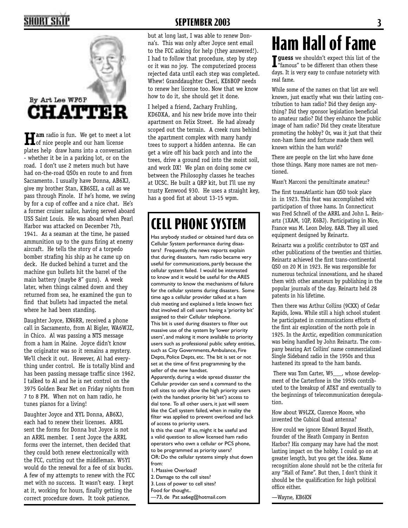

**Ham** radio is fun. We get to meet a lot of nice people and our ham license plates help draw hams into a conversation - whether it be in a parking lot, or on the road. I don't use 2 meters much but have had on-the-road QSOs en route to and from Sacramento. I usually have Donna, AB6XJ, give my brother Stan, KB6SEI, a call as we pass through Pinole. If he's home, we swing by for a cup of coffee and a nice chat. He's a former cruiser sailor, having served aboard USS Saint Louis. He was aboard when Pearl Harbor was attacked on December 7th, 1941. As a seaman at the time, he passed ammunition up to the guns firing at enemy aircraft. He tells the story of a torpedo bomber strafing his ship as he came up on deck. He ducked behind a turret and the machine gun bullets hit the barrel of the main battery (maybe 8" guns). A week later, when things calmed down and they returned from sea, he examined the gun to find that bullets had impacted the metal where he had been standing.

Daughter Joyce, KN6RR, received a phone call in Sacramento, from Al Bigler, WA6WJZ, in Chico. Al was passing a NTS message from a ham in Maine. Joyce didn't know the originator was so it remains a mystery. We'll check it out. However, Al had everything under control. He is totally blind and has been passing message traffic since 1962. I talked to Al and he is net control on the 3975 Golden Bear Net on Friday nights from 7 to 8 PM. When not on ham radio, he tunes pianos for a living!

Daughter Joyce and XYL Donna, AB6XJ, each had to renew their licenses. ARRL sent the forms for Donna but Joyce is not an ARRL member. I sent Joyce the ARRL forms over the internet, then decided that they could both renew electronically with the FCC, cutting out the middleman. W5YI would do the renewal for a fee of six bucks. A few of my attempts to renew with the FCC met with no success. It wasn't easy. I kept at it, working for hours, finally getting the correct procedure down. It took patience,

### **2 SEPTEMBER 2003 3**

but at long last, I was able to renew Donna's. This was only after Joyce sent email to the FCC asking for help (they answered!). I had to follow that procedure, step by step or it was no joy. The computerized process rejected data until each step was completed. Whew! Granddaughter Cheri, KE6BOP needs to renew her license too. Now that we know how to do it, she should get it done.

I helped a friend, Zachary Fruhling, KD6DXA, and his new bride move into their apartment on Felix Street. He had already scoped out the terrain. A creek runs behind the apartment complex with many handy trees to support a hidden antenna. He can get a wire off his back porch and into the trees, drive a ground rod into the moist soil, and work DX! We plan on doing some cw between the Philosophy classes he teaches at UCSC. He built a QRP kit, but I'll use my trusty Kenwood 930. He uses a straight key, has a good fist at about 13-15 wpm.

## **CELL PHONE SYSTEM**

Has anybody studied or obtained hard data on Cellular System performance during disasters? Frequently, the news reports explain that during disasters, ham radio became very useful for communications, partly because the cellular system failed. I would be interested to know and it would be useful for the ARES community to know the mechanisms of failure for the cellular systems during disasters. Some time ago a cellular provider talked at a ham club meeting and explained a little known fact that involved all cell users having a 'priority bit' assigned to their Cellular telephone. This bit is used during disasters to filter out massive use of the system by 'lower priority users', and making it more available to priority users such as professional public safety entities, such as City Governments, Ambulance, Fire Depts, Police Depts, etc. The bit is set or not set at the time of first programming by the seller of the new handset.

Apparently, during a wide spread disaster the Cellular provider can send a command to the cell sites to only allow the high priority users (with the handset priority bit 'set') access to dial tone. To all other users, it just will seem like the Cell system failed, when in reality the filter was applied to prevent overload and lack of access to priority users.

Is this the case? If so, might it be useful and a valid question to allow licensed ham radio operators who own a cellular or PCS phone, to be programmed as priority users? OR: Do the cellular systems simply shut down

from: 1. Massive Overload?

2. Damage to the cell sites?

3. Loss of power to cell sites?

Food for thought..

—73, de Pat aa6eg@hotmail.com

# **Ham Hall of Fame**

**I guess** we shouldn't expect this list of the "famous" to be different than others these days. It is very easy to confuse notoriety with real fame.

While some of the names on that list are well known, just exactly what was their lasting contribution to ham radio? Did they design anything? Did they sponsor legislation beneficial to amateur radio? Did they enhance the public image of ham radio? Did they create literature promoting the hobby? Or, was it just that their non-ham fame and fortune made them well known within the ham world?

There are people on the list who have done those things. Many more names are not mentioned.

Wasn't Marconi the penultimate amateur?

The first transAtlantic ham QSO took place in in 1923. This feat was accomplished with participation of three hams. In Connecticut was Fred Schnell of the ARRL and John L. Reinartz (1XAM, 1QP, K6BJ). Participating in Nice, France was M. Leon Deloy, 8AB. They all used equipment designed by Reinartz.

Reinartz was a prolific contributor to QST and other publications of the twenties and thirties. Reinartz achieved the first trans-continental QSO on 20 M in 1923. He was responsible for numerous technical innovations, and he shared them with other amateurs by publishing in the popular journals of the day. Reinartz held 28 patents in his lifetime.

Then there was Arthur Collins (9CXX) of Cedar Rapids, Iowa. While still a high school student he participated in communications efforts of the first air exploration of the north pole in 1925. In the Arctic, expedition communication was being handled by John Reinartz. The company bearing Art Collins' name commercialized Single Sideband radio in the 1950s and thus hastened its spread to the ham bands.

 There was Tom Carter, W5\_\_\_, whose development of the Carterfone in the 1950s contributed to the breakup of AT&T and eventually to the beginnings of telecommunication deregulation.

How about W9LZX, Clarence Moore, who invented the Cubical Quad antenna?

How could we ignore Edward Bayard Heath, founder of the Heath Company in Benton Harbor? His company may have had the most lasting impact on the hobby. I could go on at greater length, but you get the idea. Name recognition alone should not be the criteria for any "Hall of Fame". But then, I don't think it should be the qualification for high political office either.

—Wayne, KB6KN